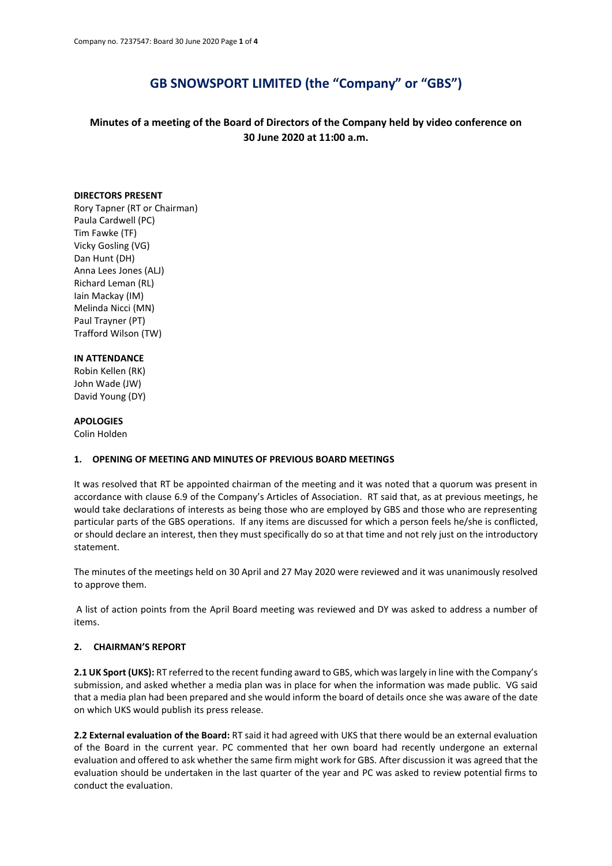# **GB SNOWSPORT LIMITED (the "Company" or "GBS")**

## **Minutes of a meeting of the Board of Directors of the Company held by video conference on 30 June 2020 at 11:00 a.m.**

#### **DIRECTORS PRESENT**

Rory Tapner (RT or Chairman) Paula Cardwell (PC) Tim Fawke (TF) Vicky Gosling (VG) Dan Hunt (DH) Anna Lees Jones (ALJ) Richard Leman (RL) Iain Mackay (IM) Melinda Nicci (MN) Paul Trayner (PT) Trafford Wilson (TW)

#### **IN ATTENDANCE**

Robin Kellen (RK) John Wade (JW) David Young (DY)

#### **APOLOGIES**

Colin Holden

#### **1. OPENING OF MEETING AND MINUTES OF PREVIOUS BOARD MEETINGS**

It was resolved that RT be appointed chairman of the meeting and it was noted that a quorum was present in accordance with clause 6.9 of the Company's Articles of Association. RT said that, as at previous meetings, he would take declarations of interests as being those who are employed by GBS and those who are representing particular parts of the GBS operations. If any items are discussed for which a person feels he/she is conflicted, or should declare an interest, then they must specifically do so at that time and not rely just on the introductory statement.

The minutes of the meetings held on 30 April and 27 May 2020 were reviewed and it was unanimously resolved to approve them.

A list of action points from the April Board meeting was reviewed and DY was asked to address a number of items.

#### **2. CHAIRMAN'S REPORT**

**2.1 UK Sport (UKS):** RT referred to the recent funding award to GBS, which was largely in line with the Company's submission, and asked whether a media plan was in place for when the information was made public. VG said that a media plan had been prepared and she would inform the board of details once she was aware of the date on which UKS would publish its press release.

**2.2 External evaluation of the Board:** RT said it had agreed with UKS that there would be an external evaluation of the Board in the current year. PC commented that her own board had recently undergone an external evaluation and offered to ask whether the same firm might work for GBS. After discussion it was agreed that the evaluation should be undertaken in the last quarter of the year and PC was asked to review potential firms to conduct the evaluation.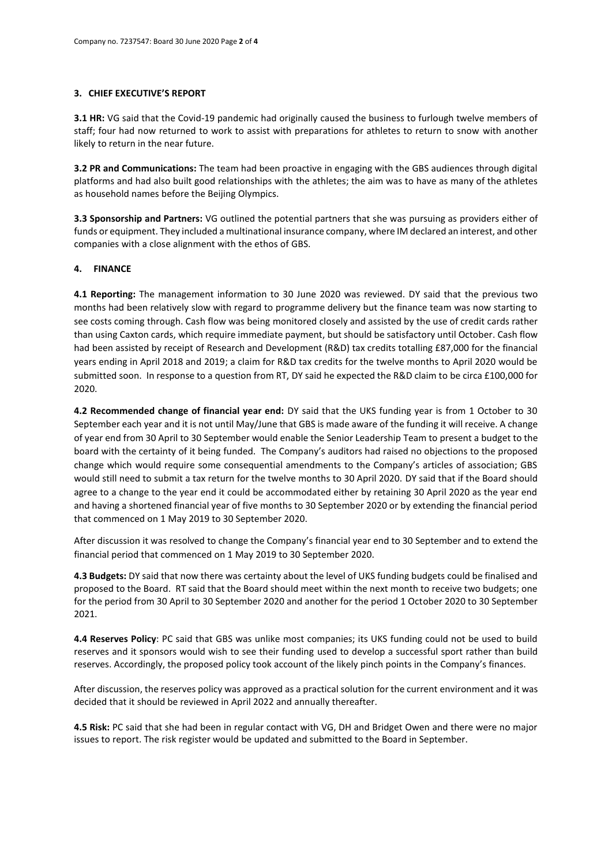#### **3. CHIEF EXECUTIVE'S REPORT**

**3.1 HR:** VG said that the Covid-19 pandemic had originally caused the business to furlough twelve members of staff; four had now returned to work to assist with preparations for athletes to return to snow with another likely to return in the near future.

**3.2 PR and Communications:** The team had been proactive in engaging with the GBS audiences through digital platforms and had also built good relationships with the athletes; the aim was to have as many of the athletes as household names before the Beijing Olympics.

**3.3 Sponsorship and Partners:** VG outlined the potential partners that she was pursuing as providers either of funds or equipment. They included a multinational insurance company, where IM declared an interest, and other companies with a close alignment with the ethos of GBS.

#### **4. FINANCE**

**4.1 Reporting:** The management information to 30 June 2020 was reviewed. DY said that the previous two months had been relatively slow with regard to programme delivery but the finance team was now starting to see costs coming through. Cash flow was being monitored closely and assisted by the use of credit cards rather than using Caxton cards, which require immediate payment, but should be satisfactory until October. Cash flow had been assisted by receipt of Research and Development (R&D) tax credits totalling £87,000 for the financial years ending in April 2018 and 2019; a claim for R&D tax credits for the twelve months to April 2020 would be submitted soon. In response to a question from RT, DY said he expected the R&D claim to be circa £100,000 for 2020.

**4.2 Recommended change of financial year end:** DY said that the UKS funding year is from 1 October to 30 September each year and it is not until May/June that GBS is made aware of the funding it will receive. A change of year end from 30 April to 30 September would enable the Senior Leadership Team to present a budget to the board with the certainty of it being funded. The Company's auditors had raised no objections to the proposed change which would require some consequential amendments to the Company's articles of association; GBS would still need to submit a tax return for the twelve months to 30 April 2020. DY said that if the Board should agree to a change to the year end it could be accommodated either by retaining 30 April 2020 as the year end and having a shortened financial year of five months to 30 September 2020 or by extending the financial period that commenced on 1 May 2019 to 30 September 2020.

After discussion it was resolved to change the Company's financial year end to 30 September and to extend the financial period that commenced on 1 May 2019 to 30 September 2020.

**4.3 Budgets:** DY said that now there was certainty about the level of UKS funding budgets could be finalised and proposed to the Board. RT said that the Board should meet within the next month to receive two budgets; one for the period from 30 April to 30 September 2020 and another for the period 1 October 2020 to 30 September 2021.

**4.4 Reserves Policy**: PC said that GBS was unlike most companies; its UKS funding could not be used to build reserves and it sponsors would wish to see their funding used to develop a successful sport rather than build reserves. Accordingly, the proposed policy took account of the likely pinch points in the Company's finances.

After discussion, the reserves policy was approved as a practical solution for the current environment and it was decided that it should be reviewed in April 2022 and annually thereafter.

**4.5 Risk:** PC said that she had been in regular contact with VG, DH and Bridget Owen and there were no major issues to report. The risk register would be updated and submitted to the Board in September.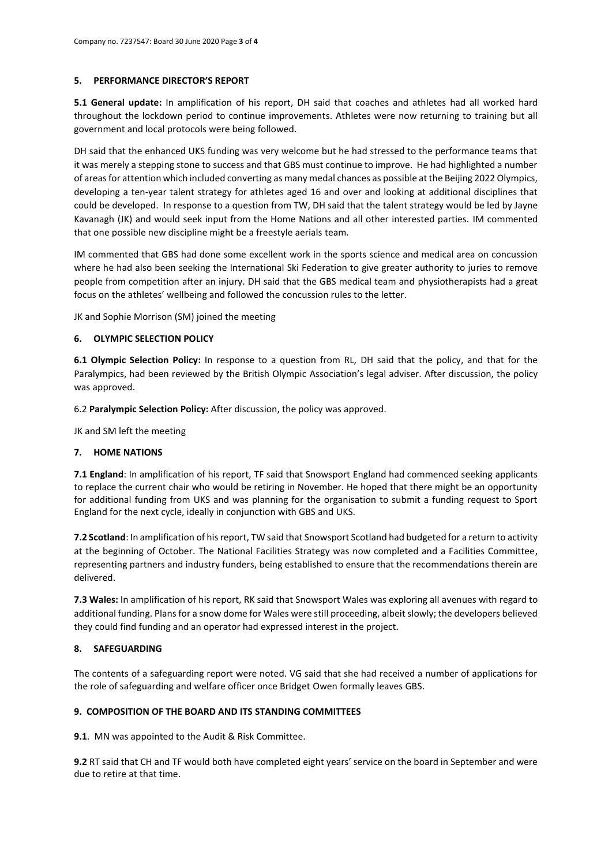### **5. PERFORMANCE DIRECTOR'S REPORT**

**5.1 General update:** In amplification of his report, DH said that coaches and athletes had all worked hard throughout the lockdown period to continue improvements. Athletes were now returning to training but all government and local protocols were being followed.

DH said that the enhanced UKS funding was very welcome but he had stressed to the performance teams that it was merely a stepping stone to success and that GBS must continue to improve. He had highlighted a number of areas for attention which included converting as many medal chances as possible at the Beijing 2022 Olympics, developing a ten-year talent strategy for athletes aged 16 and over and looking at additional disciplines that could be developed. In response to a question from TW, DH said that the talent strategy would be led by Jayne Kavanagh (JK) and would seek input from the Home Nations and all other interested parties. IM commented that one possible new discipline might be a freestyle aerials team.

IM commented that GBS had done some excellent work in the sports science and medical area on concussion where he had also been seeking the International Ski Federation to give greater authority to juries to remove people from competition after an injury. DH said that the GBS medical team and physiotherapists had a great focus on the athletes' wellbeing and followed the concussion rules to the letter.

JK and Sophie Morrison (SM) joined the meeting

## **6. OLYMPIC SELECTION POLICY**

**6.1 Olympic Selection Policy:** In response to a question from RL, DH said that the policy, and that for the Paralympics, had been reviewed by the British Olympic Association's legal adviser. After discussion, the policy was approved.

6.2 **Paralympic Selection Policy:** After discussion, the policy was approved.

JK and SM left the meeting

#### **7. HOME NATIONS**

**7.1 England**: In amplification of his report, TF said that Snowsport England had commenced seeking applicants to replace the current chair who would be retiring in November. He hoped that there might be an opportunity for additional funding from UKS and was planning for the organisation to submit a funding request to Sport England for the next cycle, ideally in conjunction with GBS and UKS.

**7.2 Scotland**: In amplification of his report, TW said that Snowsport Scotland had budgeted for a return to activity at the beginning of October. The National Facilities Strategy was now completed and a Facilities Committee, representing partners and industry funders, being established to ensure that the recommendations therein are delivered.

**7.3 Wales:** In amplification of his report, RK said that Snowsport Wales was exploring all avenues with regard to additional funding. Plans for a snow dome for Wales were still proceeding, albeit slowly; the developers believed they could find funding and an operator had expressed interest in the project.

## **8. SAFEGUARDING**

The contents of a safeguarding report were noted. VG said that she had received a number of applications for the role of safeguarding and welfare officer once Bridget Owen formally leaves GBS.

## **9. COMPOSITION OF THE BOARD AND ITS STANDING COMMITTEES**

**9.1**. MN was appointed to the Audit & Risk Committee.

**9.2** RT said that CH and TF would both have completed eight years' service on the board in September and were due to retire at that time.